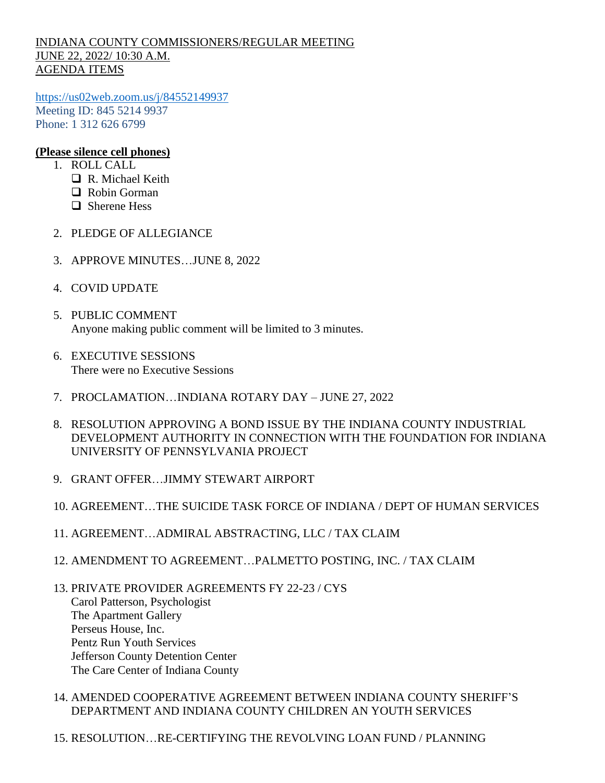## INDIANA COUNTY COMMISSIONERS/REGULAR MEETING JUNE 22, 2022/ 10:30 A.M. AGENDA ITEMS

<https://us02web.zoom.us/j/84552149937> Meeting ID: 845 5214 9937 Phone: 1 312 626 6799

## **(Please silence cell phones)**

- 1. ROLL CALL
	- R. Michael Keith
	- □ Robin Gorman
	- □ Sherene Hess
- 2. PLEDGE OF ALLEGIANCE
- 3. APPROVE MINUTES…JUNE 8, 2022
- 4. COVID UPDATE
- 5. PUBLIC COMMENT Anyone making public comment will be limited to 3 minutes.
- 6. EXECUTIVE SESSIONS There were no Executive Sessions
- 7. PROCLAMATION…INDIANA ROTARY DAY JUNE 27, 2022
- 8. RESOLUTION APPROVING A BOND ISSUE BY THE INDIANA COUNTY INDUSTRIAL DEVELOPMENT AUTHORITY IN CONNECTION WITH THE FOUNDATION FOR INDIANA UNIVERSITY OF PENNSYLVANIA PROJECT
- 9. GRANT OFFER…JIMMY STEWART AIRPORT
- 10. AGREEMENT…THE SUICIDE TASK FORCE OF INDIANA / DEPT OF HUMAN SERVICES
- 11. AGREEMENT…ADMIRAL ABSTRACTING, LLC / TAX CLAIM
- 12. AMENDMENT TO AGREEMENT…PALMETTO POSTING, INC. / TAX CLAIM
- 13. PRIVATE PROVIDER AGREEMENTS FY 22-23 / CYS Carol Patterson, Psychologist The Apartment Gallery Perseus House, Inc. Pentz Run Youth Services Jefferson County Detention Center The Care Center of Indiana County
- 14. AMENDED COOPERATIVE AGREEMENT BETWEEN INDIANA COUNTY SHERIFF'S DEPARTMENT AND INDIANA COUNTY CHILDREN AN YOUTH SERVICES
- 15. RESOLUTION…RE-CERTIFYING THE REVOLVING LOAN FUND / PLANNING